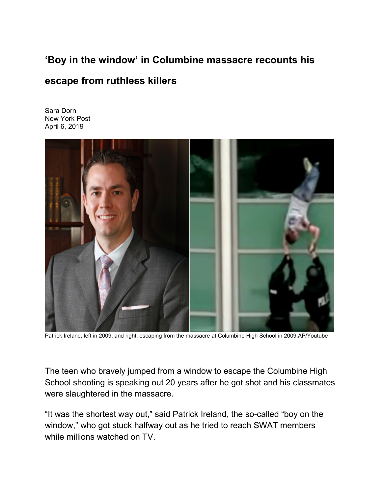## **'Boy in the window' in Columbine massacre recounts his**

## **escape from ruthless killers**

[Sara Dorn](https://nypost.com/author/sara-dorn/) New York Post April 6, 2019



Patrick Ireland, left in 2009, and right, escaping from the massacre at Columbine High School in 2009.AP/Youtube

The teen who bravely jumped from a window to escape the [Columbine High](https://nypost.com/1999/04/22/among-worst-slaughters-ever/)  [School shooting](https://nypost.com/1999/04/22/among-worst-slaughters-ever/) is speaking out 20 years after he got shot and his classmates were slaughtered in the massacre.

"It was the shortest way out," said Patrick Ireland, the so-called "boy on the window," who got stuck halfway out as he tried to reach SWAT members while millions watched on TV.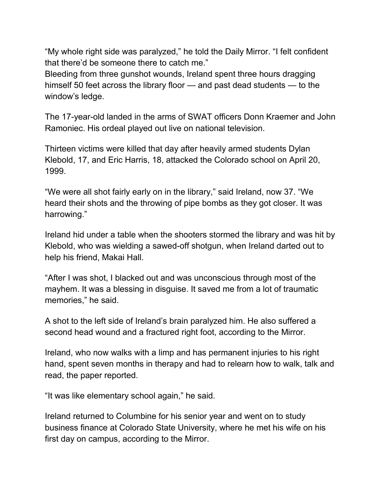"My whole right side was paralyzed," he [told the Daily Mirror.](https://www.mirror.co.uk/news/us-news/columbines-boy-window-tells-how-14241402) "I felt confident that there'd be someone there to catch me."

Bleeding from three gunshot wounds, Ireland spent three hours dragging himself 50 feet across the library floor — and past dead students — to the window's ledge.

The 17-year-old landed in the arms of SWAT officers Donn Kraemer and John Ramoniec. His ordeal played out live on national television.

Thirteen victims were killed that day after heavily armed students Dylan Klebold, 17, and Eric Harris, 18, attacked the Colorado school on April 20, 1999.

"We were all shot fairly early on in the library," said Ireland, now 37. "We heard their shots and the throwing of pipe bombs as they got closer. It was harrowing."

Ireland hid under a table when the shooters stormed the library and was hit by Klebold, who was wielding a sawed-off shotgun, when Ireland darted out to help his friend, Makai Hall.

"After I was shot, I blacked out and was unconscious through most of the mayhem. It was a blessing in disguise. It saved me from a lot of traumatic memories," he said.

A shot to the left side of Ireland's brain paralyzed him. He also suffered a second head wound and a fractured right foot, according to the Mirror.

Ireland, who now walks with a limp and has permanent injuries to his right hand, spent seven months in therapy and had to relearn how to walk, talk and read, the paper reported.

"It was like elementary school again," he said.

Ireland returned to Columbine for his senior year and went on to study business finance at Colorado State University, where he met his wife on his first day on campus, according to the Mirror.